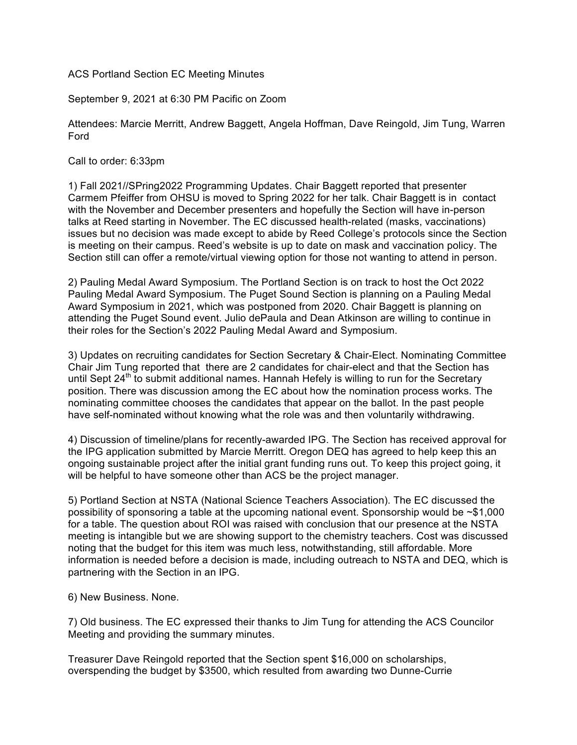ACS Portland Section EC Meeting Minutes

September 9, 2021 at 6:30 PM Pacific on Zoom

Attendees: Marcie Merritt, Andrew Baggett, Angela Hoffman, Dave Reingold, Jim Tung, Warren Ford

Call to order: 6:33pm

1) Fall 2021//SPring2022 Programming Updates. Chair Baggett reported that presenter Carmem Pfeiffer from OHSU is moved to Spring 2022 for her talk. Chair Baggett is in contact with the November and December presenters and hopefully the Section will have in-person talks at Reed starting in November. The EC discussed health-related (masks, vaccinations) issues but no decision was made except to abide by Reed College's protocols since the Section is meeting on their campus. Reed's website is up to date on mask and vaccination policy. The Section still can offer a remote/virtual viewing option for those not wanting to attend in person.

2) Pauling Medal Award Symposium. The Portland Section is on track to host the Oct 2022 Pauling Medal Award Symposium. The Puget Sound Section is planning on a Pauling Medal Award Symposium in 2021, which was postponed from 2020. Chair Baggett is planning on attending the Puget Sound event. Julio dePaula and Dean Atkinson are willing to continue in their roles for the Section's 2022 Pauling Medal Award and Symposium.

3) Updates on recruiting candidates for Section Secretary & Chair-Elect. Nominating Committee Chair Jim Tung reported that there are 2 candidates for chair-elect and that the Section has until Sept  $24<sup>th</sup>$  to submit additional names. Hannah Hefely is willing to run for the Secretary position. There was discussion among the EC about how the nomination process works. The nominating committee chooses the candidates that appear on the ballot. In the past people have self-nominated without knowing what the role was and then voluntarily withdrawing.

4) Discussion of timeline/plans for recently-awarded IPG. The Section has received approval for the IPG application submitted by Marcie Merritt. Oregon DEQ has agreed to help keep this an ongoing sustainable project after the initial grant funding runs out. To keep this project going, it will be helpful to have someone other than ACS be the project manager.

5) Portland Section at NSTA (National Science Teachers Association). The EC discussed the possibility of sponsoring a table at the upcoming national event. Sponsorship would be ~\$1,000 for a table. The question about ROI was raised with conclusion that our presence at the NSTA meeting is intangible but we are showing support to the chemistry teachers. Cost was discussed noting that the budget for this item was much less, notwithstanding, still affordable. More information is needed before a decision is made, including outreach to NSTA and DEQ, which is partnering with the Section in an IPG.

6) New Business. None.

7) Old business. The EC expressed their thanks to Jim Tung for attending the ACS Councilor Meeting and providing the summary minutes.

Treasurer Dave Reingold reported that the Section spent \$16,000 on scholarships, overspending the budget by \$3500, which resulted from awarding two Dunne-Currie